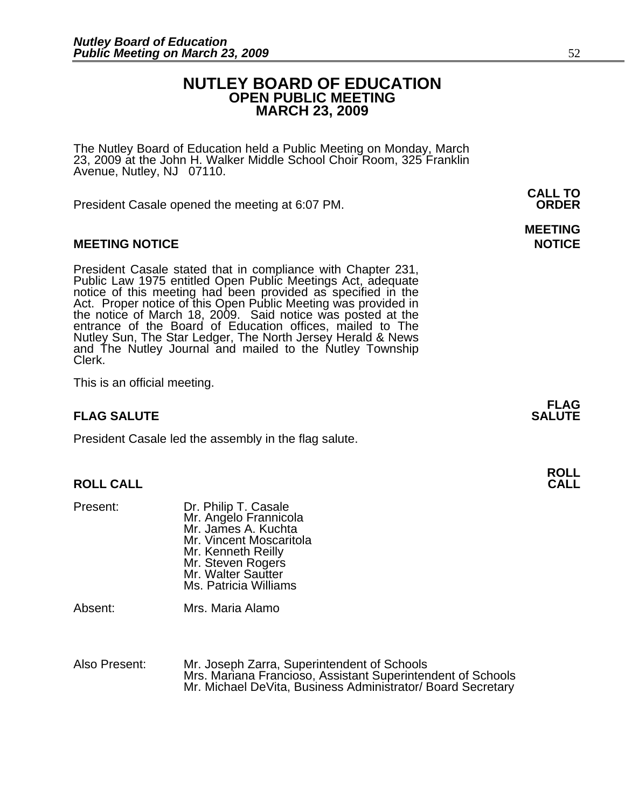# **NUTLEY BOARD OF EDUCATION OPEN PUBLIC MEETING MARCH 23, 2009**

The Nutley Board of Education held a Public Meeting on Monday, March 23, 2009 at the John H. Walker Middle School Choir Room, 325 Franklin Avenue, Nutley, NJ 07110.

 **CALL TO**  President Casale opened the meeting at 6:07 PM. **ORDER**

#### **MEETING NOTICE NOTICE REPORTS AND ALCOHOL**

President Casale stated that in compliance with Chapter 231,<br>Public Law 1975 entitled Open Public Meetings Act, adequate<br>notice of this meeting had been provided as specified in the<br>Act. Proper notice of this Open Public M the notice of March 18, 2009. Said notice was posted at the entrance of the Board of Education offices, mailed to The Nutley Sun, The Star Ledger, The North Jersey Herald & News and The Nutley Journal and mailed to the Nutley Township Clerk.

This is an official meeting.

## **FLAG SALUTE** SALUTE SALUTE SALUTE SALUTE SALUTE

President Casale led the assembly in the flag salute.

# **ROLL ROLL CALL CALL**

| Mr. James A. Kuchta<br>Mr. Vincent Moscaritola<br>Mr. Kenneth Reilly | Mr. Angelo Frannicola |
|----------------------------------------------------------------------|-----------------------|
| Mr. Steven Rogers<br>Mr. Walter Sautter                              |                       |
| Ms. Patricia Williams                                                |                       |

Absent: Mrs. Maria Alamo

Also Present: Mr. Joseph Zarra, Superintendent of Schools Mrs. Mariana Francioso, Assistant Superintendent of Schools Mr. Michael DeVita, Business Administrator/ Board Secretary

**FLAG** 

# **MEETING**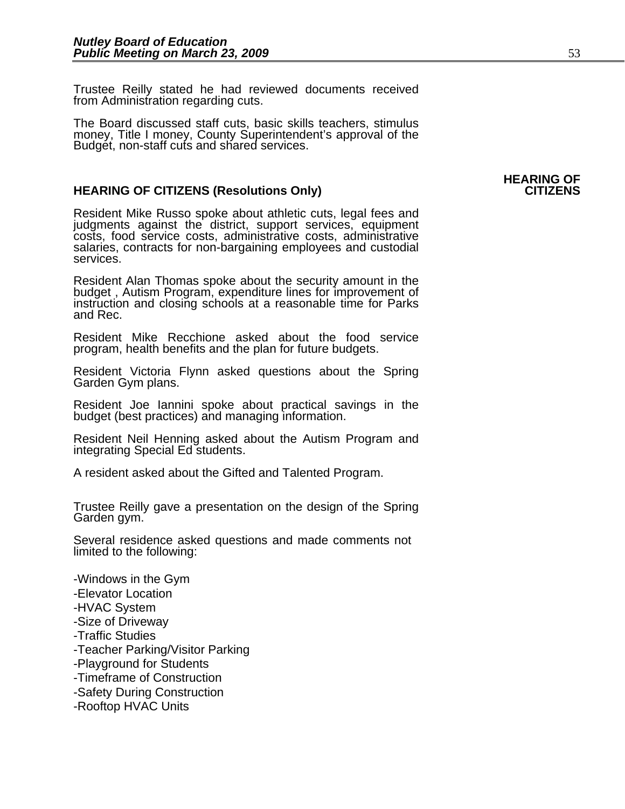Trustee Reilly stated he had reviewed documents received from Administration regarding cuts.

The Board discussed staff cuts, basic skills teachers, stimulus money, Title I money, County Superintendent's approval of the Budget, non-staff cuts and shared services.

#### **HEARING OF CITIZENS (Resolutions Only)** The setting of the CITIZENS of the CITIZENS

Resident Mike Russo spoke about athletic cuts, legal fees and judgments against the district, support services, equipment costs, food service costs, administrative costs, administrative salaries, contracts for non-bargaining employees and custodial services.

Resident Alan Thomas spoke about the security amount in the budget , Autism Program, expenditure lines for improvement of instruction and closing schools at a reasonable time for Parks and Rec.

Resident Mike Recchione asked about the food service program, health benefits and the plan for future budgets.

Resident Victoria Flynn asked questions about the Spring Garden Gym plans.

Resident Joe Iannini spoke about practical savings in the budget (best practices) and managing information.

Resident Neil Henning asked about the Autism Program and integrating Special Ed students.

A resident asked about the Gifted and Talented Program.

Trustee Reilly gave a presentation on the design of the Spring<br>Garden gym.

Several residence asked questions and made comments not limited to the following:

-Windows in the Gym -Elevator Location -HVAC System -Size of Driveway -Traffic Studies -Teacher Parking/Visitor Parking -Playground for Students -Timeframe of Construction -Safety During Construction -Rooftop HVAC Units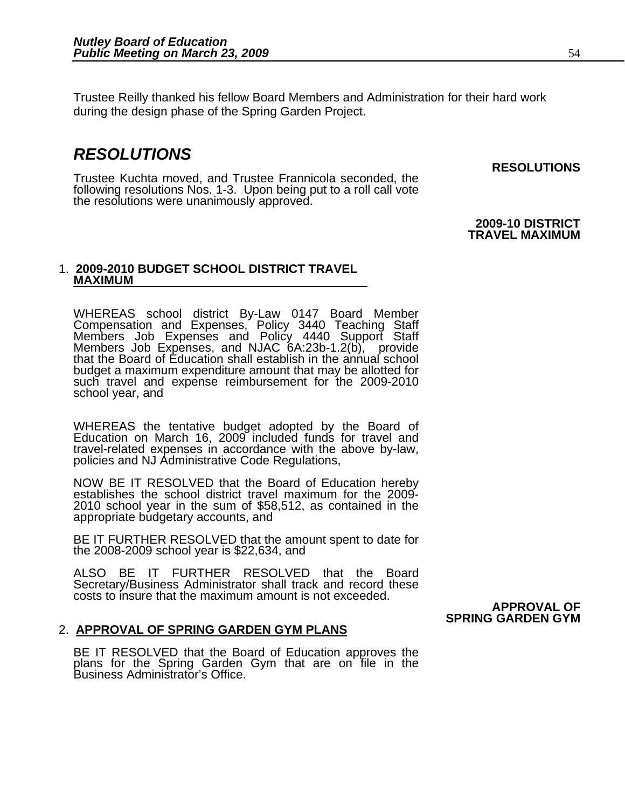Trustee Reilly thanked his fellow Board Members and Administration for their hard work during the design phase of the Spring Garden Project.

# *RESOLUTIONS*

Trustee Kuchta moved, and Trustee Frannicola seconded, the following resolutions Nos. 1-3. Upon being put to a roll call vote the resolutions were unanimously approved.

# **2009-10 DISTRICT**

**RESOLUTIONS** 

 **TRAVEL MAXIMUM** 

#### 1. **2009-2010 BUDGET SCHOOL DISTRICT TRAVEL MAXIMUM**

WHEREAS school district By-Law 0147 Board Member Compensation and Expenses, Policy 3440 Teaching Staff Members Job Expenses and Policy 4440 Support Staff Members Job Expenses, and NJAC 6A:23b-1.2(b), provide that the Board of Education shall establish in the annual school budget a maximum expenditure amount that may be allotted for such travel and expense reimbursement for the 2009-2010 school year, and

WHEREAS the tentative budget adopted by the Board of Education on March 16, 2009 included funds for travel and travel-related expenses in accordance with the above by-law, policies and NJ Administrative Code Regulations,

NOW BE IT RESOLVED that the Board of Education hereby establishes the school district travel maximum for the 2009- 2010 school year in the sum of \$58,512, as contained in the appropriate budgetary accounts, and

BE IT FURTHER RESOLVED that the amount spent to date for the 2008-2009 school year is \$22,634, and

ALSO BE IT FURTHER RESOLVED that the Board Secretary/Business Administrator shall track and record these costs to insure that the maximum amount is not exceeded.

## 2. **APPROVAL OF SPRING GARDEN GYM PLANS**

BE IT RESOLVED that the Board of Education approves the<br>plans for the Spring Garden Gym that are on file in the Business Administrator's Office.

#### **APPROVAL OF SPRING GARDEN GYM**